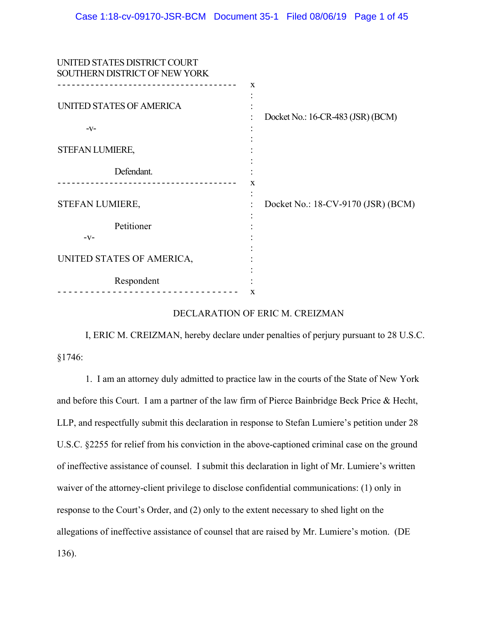| UNITED STATES DISTRICT COURT<br>SOUTHERN DISTRICT OF NEW YORK |                                                  |
|---------------------------------------------------------------|--------------------------------------------------|
| UNITED STATES OF AMERICA<br>$-V-$                             | $\mathbf x$<br>Docket No.: 16-CR-483 (JSR) (BCM) |
| STEFAN LUMIERE,                                               |                                                  |
| Defendant.                                                    | x                                                |
| STEFAN LUMIERE,                                               | Docket No.: 18-CV-9170 (JSR) (BCM)               |
| Petitioner<br>$-V-$                                           |                                                  |
| UNITED STATES OF AMERICA,                                     |                                                  |
| Respondent                                                    | X                                                |
|                                                               |                                                  |

### DECLARATION OF ERIC M. CREIZMAN

I, ERIC M. CREIZMAN, hereby declare under penalties of perjury pursuant to 28 U.S.C. §1746:

1. I am an attorney duly admitted to practice law in the courts of the State of New York and before this Court. I am a partner of the law firm of Pierce Bainbridge Beck Price & Hecht, LLP, and respectfully submit this declaration in response to Stefan Lumiere's petition under 28 U.S.C. §2255 for relief from his conviction in the above-captioned criminal case on the ground of ineffective assistance of counsel. I submit this declaration in light of Mr. Lumiere's written waiver of the attorney-client privilege to disclose confidential communications: (1) only in response to the Court's Order, and (2) only to the extent necessary to shed light on the allegations of ineffective assistance of counsel that are raised by Mr. Lumiere's motion. (DE 136).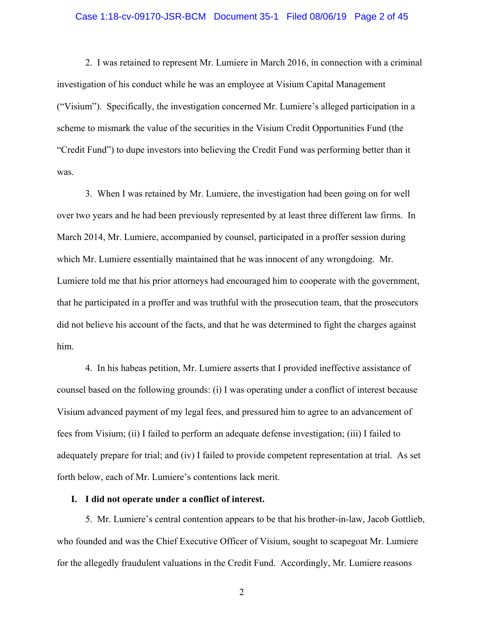### Case 1:18-cv-09170-JSR-BCM Document 35-1 Filed 08/06/19 Page 2 of 45

2. I was retained to represent Mr. Lumiere in March 2016, in connection with a criminal investigation of his conduct while he was an employee at Visium Capital Management ("Visium"). Specifically, the investigation concerned Mr. Lumiere's alleged participation in a scheme to mismark the value of the securities in the Visium Credit Opportunities Fund (the "Credit Fund") to dupe investors into believing the Credit Fund was performing better than it was.

3. When I was retained by Mr. Lumiere, the investigation had been going on for well over two years and he had been previously represented by at least three different law firms. In March 2014, Mr. Lumiere, accompanied by counsel, participated in a proffer session during which Mr. Lumiere essentially maintained that he was innocent of any wrongdoing. Mr. Lumiere told me that his prior attorneys had encouraged him to cooperate with the government, that he participated in a proffer and was truthful with the prosecution team, that the prosecutors did not believe his account of the facts, and that he was determined to fight the charges against him.

4. In his habeas petition, Mr. Lumiere asserts that I provided ineffective assistance of counsel based on the following grounds: (i) I was operating under a conflict of interest because Visium advanced payment of my legal fees, and pressured him to agree to an advancement of fees from Visium; (ii) I failed to perform an adequate defense investigation; (iii) I failed to adequately prepare for trial; and (iv) I failed to provide competent representation at trial. As set forth below, each of Mr. Lumiere's contentions lack merit.

#### **I. I did not operate under a conflict of interest.**

5. Mr. Lumiere's central contention appears to be that his brother-in-law, Jacob Gottlieb, who founded and was the Chief Executive Officer of Visium, sought to scapegoat Mr. Lumiere for the allegedly fraudulent valuations in the Credit Fund. Accordingly, Mr. Lumiere reasons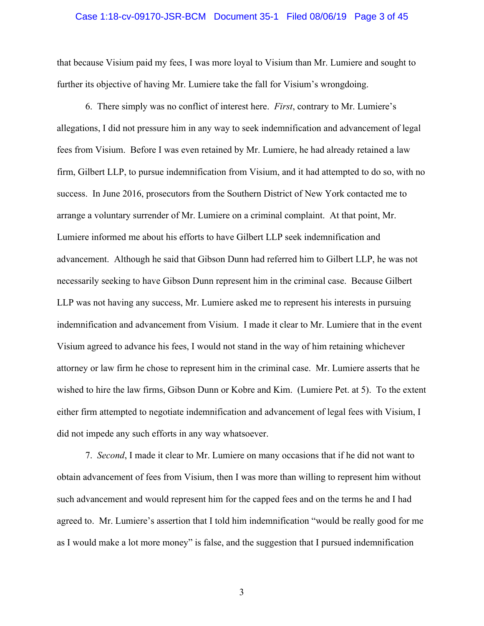#### Case 1:18-cv-09170-JSR-BCM Document 35-1 Filed 08/06/19 Page 3 of 45

that because Visium paid my fees, I was more loyal to Visium than Mr. Lumiere and sought to further its objective of having Mr. Lumiere take the fall for Visium's wrongdoing.

6. There simply was no conflict of interest here. *First*, contrary to Mr. Lumiere's allegations, I did not pressure him in any way to seek indemnification and advancement of legal fees from Visium. Before I was even retained by Mr. Lumiere, he had already retained a law firm, Gilbert LLP, to pursue indemnification from Visium, and it had attempted to do so, with no success. In June 2016, prosecutors from the Southern District of New York contacted me to arrange a voluntary surrender of Mr. Lumiere on a criminal complaint. At that point, Mr. Lumiere informed me about his efforts to have Gilbert LLP seek indemnification and advancement. Although he said that Gibson Dunn had referred him to Gilbert LLP, he was not necessarily seeking to have Gibson Dunn represent him in the criminal case. Because Gilbert LLP was not having any success, Mr. Lumiere asked me to represent his interests in pursuing indemnification and advancement from Visium. I made it clear to Mr. Lumiere that in the event Visium agreed to advance his fees, I would not stand in the way of him retaining whichever attorney or law firm he chose to represent him in the criminal case. Mr. Lumiere asserts that he wished to hire the law firms, Gibson Dunn or Kobre and Kim. (Lumiere Pet. at 5). To the extent either firm attempted to negotiate indemnification and advancement of legal fees with Visium, I did not impede any such efforts in any way whatsoever.

7. *Second*, I made it clear to Mr. Lumiere on many occasions that if he did not want to obtain advancement of fees from Visium, then I was more than willing to represent him without such advancement and would represent him for the capped fees and on the terms he and I had agreed to. Mr. Lumiere's assertion that I told him indemnification "would be really good for me as I would make a lot more money" is false, and the suggestion that I pursued indemnification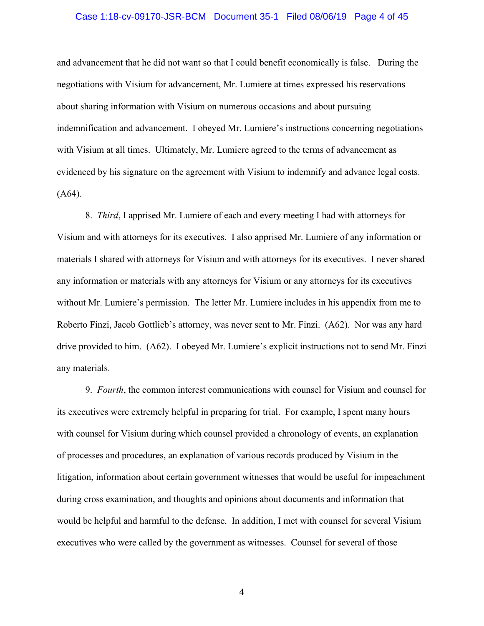### Case 1:18-cv-09170-JSR-BCM Document 35-1 Filed 08/06/19 Page 4 of 45

and advancement that he did not want so that I could benefit economically is false. During the negotiations with Visium for advancement, Mr. Lumiere at times expressed his reservations about sharing information with Visium on numerous occasions and about pursuing indemnification and advancement. I obeyed Mr. Lumiere's instructions concerning negotiations with Visium at all times. Ultimately, Mr. Lumiere agreed to the terms of advancement as evidenced by his signature on the agreement with Visium to indemnify and advance legal costs. (A64).

8. *Third*, I apprised Mr. Lumiere of each and every meeting I had with attorneys for Visium and with attorneys for its executives. I also apprised Mr. Lumiere of any information or materials I shared with attorneys for Visium and with attorneys for its executives. I never shared any information or materials with any attorneys for Visium or any attorneys for its executives without Mr. Lumiere's permission. The letter Mr. Lumiere includes in his appendix from me to Roberto Finzi, Jacob Gottlieb's attorney, was never sent to Mr. Finzi. (A62). Nor was any hard drive provided to him. (A62). I obeyed Mr. Lumiere's explicit instructions not to send Mr. Finzi any materials.

9. *Fourth*, the common interest communications with counsel for Visium and counsel for its executives were extremely helpful in preparing for trial. For example, I spent many hours with counsel for Visium during which counsel provided a chronology of events, an explanation of processes and procedures, an explanation of various records produced by Visium in the litigation, information about certain government witnesses that would be useful for impeachment during cross examination, and thoughts and opinions about documents and information that would be helpful and harmful to the defense. In addition, I met with counsel for several Visium executives who were called by the government as witnesses. Counsel for several of those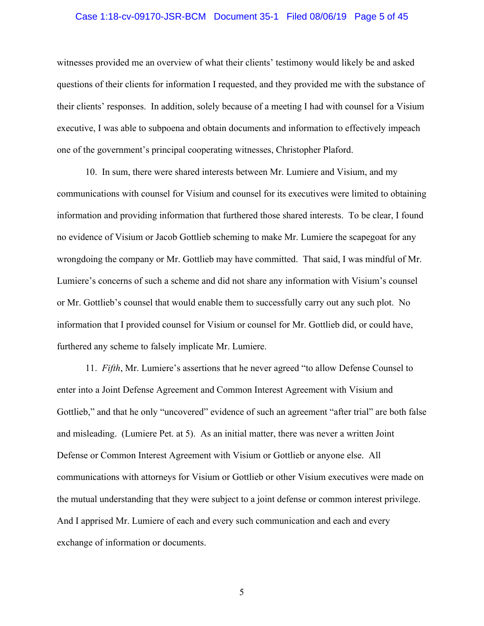### Case 1:18-cv-09170-JSR-BCM Document 35-1 Filed 08/06/19 Page 5 of 45

witnesses provided me an overview of what their clients' testimony would likely be and asked questions of their clients for information I requested, and they provided me with the substance of their clients' responses. In addition, solely because of a meeting I had with counsel for a Visium executive, I was able to subpoena and obtain documents and information to effectively impeach one of the government's principal cooperating witnesses, Christopher Plaford.

10. In sum, there were shared interests between Mr. Lumiere and Visium, and my communications with counsel for Visium and counsel for its executives were limited to obtaining information and providing information that furthered those shared interests. To be clear, I found no evidence of Visium or Jacob Gottlieb scheming to make Mr. Lumiere the scapegoat for any wrongdoing the company or Mr. Gottlieb may have committed. That said, I was mindful of Mr. Lumiere's concerns of such a scheme and did not share any information with Visium's counsel or Mr. Gottlieb's counsel that would enable them to successfully carry out any such plot. No information that I provided counsel for Visium or counsel for Mr. Gottlieb did, or could have, furthered any scheme to falsely implicate Mr. Lumiere.

11. *Fifth*, Mr. Lumiere's assertions that he never agreed "to allow Defense Counsel to enter into a Joint Defense Agreement and Common Interest Agreement with Visium and Gottlieb," and that he only "uncovered" evidence of such an agreement "after trial" are both false and misleading. (Lumiere Pet. at 5). As an initial matter, there was never a written Joint Defense or Common Interest Agreement with Visium or Gottlieb or anyone else. All communications with attorneys for Visium or Gottlieb or other Visium executives were made on the mutual understanding that they were subject to a joint defense or common interest privilege. And I apprised Mr. Lumiere of each and every such communication and each and every exchange of information or documents.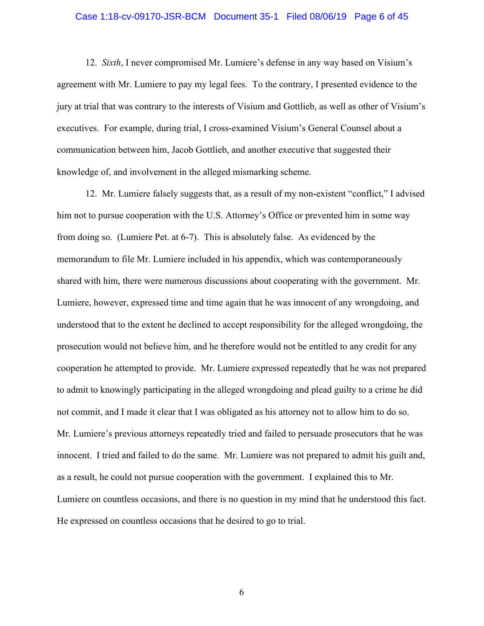### Case 1:18-cv-09170-JSR-BCM Document 35-1 Filed 08/06/19 Page 6 of 45

12. *Sixth*, I never compromised Mr. Lumiere's defense in any way based on Visium's agreement with Mr. Lumiere to pay my legal fees. To the contrary, I presented evidence to the jury at trial that was contrary to the interests of Visium and Gottlieb, as well as other of Visium's executives. For example, during trial, I cross-examined Visium's General Counsel about a communication between him, Jacob Gottlieb, and another executive that suggested their knowledge of, and involvement in the alleged mismarking scheme.

12. Mr. Lumiere falsely suggests that, as a result of my non-existent "conflict," I advised him not to pursue cooperation with the U.S. Attorney's Office or prevented him in some way from doing so. (Lumiere Pet. at 6-7). This is absolutely false. As evidenced by the memorandum to file Mr. Lumiere included in his appendix, which was contemporaneously shared with him, there were numerous discussions about cooperating with the government. Mr. Lumiere, however, expressed time and time again that he was innocent of any wrongdoing, and understood that to the extent he declined to accept responsibility for the alleged wrongdoing, the prosecution would not believe him, and he therefore would not be entitled to any credit for any cooperation he attempted to provide. Mr. Lumiere expressed repeatedly that he was not prepared to admit to knowingly participating in the alleged wrongdoing and plead guilty to a crime he did not commit, and I made it clear that I was obligated as his attorney not to allow him to do so. Mr. Lumiere's previous attorneys repeatedly tried and failed to persuade prosecutors that he was innocent. I tried and failed to do the same. Mr. Lumiere was not prepared to admit his guilt and, as a result, he could not pursue cooperation with the government. I explained this to Mr. Lumiere on countless occasions, and there is no question in my mind that he understood this fact. He expressed on countless occasions that he desired to go to trial.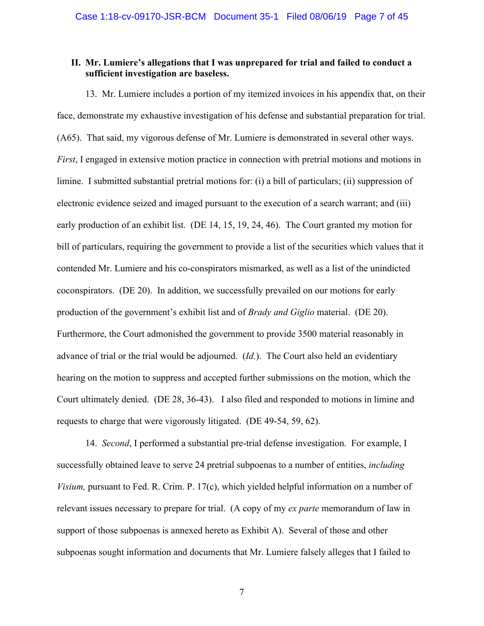## **II. Mr. Lumiere's allegations that I was unprepared for trial and failed to conduct a sufficient investigation are baseless.**

13. Mr. Lumiere includes a portion of my itemized invoices in his appendix that, on their face, demonstrate my exhaustive investigation of his defense and substantial preparation for trial. (A65). That said, my vigorous defense of Mr. Lumiere is demonstrated in several other ways. *First*, I engaged in extensive motion practice in connection with pretrial motions and motions in limine. I submitted substantial pretrial motions for: (i) a bill of particulars; (ii) suppression of electronic evidence seized and imaged pursuant to the execution of a search warrant; and (iii) early production of an exhibit list. (DE 14, 15, 19, 24, 46). The Court granted my motion for bill of particulars, requiring the government to provide a list of the securities which values that it contended Mr. Lumiere and his co-conspirators mismarked, as well as a list of the unindicted coconspirators. (DE 20). In addition, we successfully prevailed on our motions for early production of the government's exhibit list and of *Brady and Giglio* material. (DE 20). Furthermore, the Court admonished the government to provide 3500 material reasonably in advance of trial or the trial would be adjourned. (*Id.*). The Court also held an evidentiary hearing on the motion to suppress and accepted further submissions on the motion, which the Court ultimately denied. (DE 28, 36-43). I also filed and responded to motions in limine and requests to charge that were vigorously litigated. (DE 49-54, 59, 62).

14. *Second*, I performed a substantial pre-trial defense investigation. For example, I successfully obtained leave to serve 24 pretrial subpoenas to a number of entities, *including Visium, pursuant to Fed. R. Crim. P. 17(c), which yielded helpful information on a number of* relevant issues necessary to prepare for trial. (A copy of my *ex parte* memorandum of law in support of those subpoenas is annexed hereto as Exhibit A). Several of those and other subpoenas sought information and documents that Mr. Lumiere falsely alleges that I failed to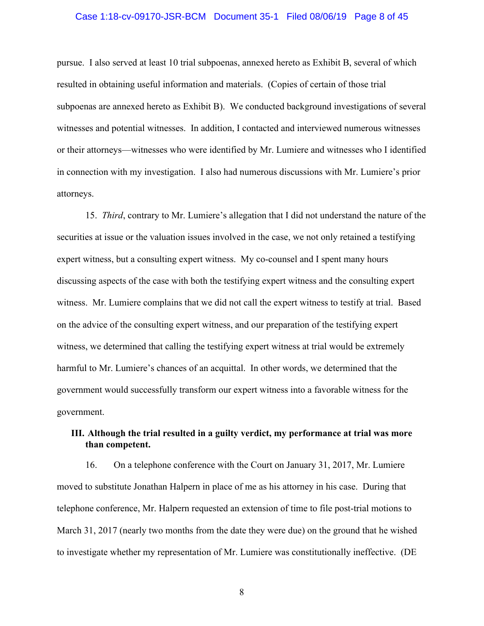### Case 1:18-cv-09170-JSR-BCM Document 35-1 Filed 08/06/19 Page 8 of 45

pursue. I also served at least 10 trial subpoenas, annexed hereto as Exhibit B, several of which resulted in obtaining useful information and materials. (Copies of certain of those trial subpoenas are annexed hereto as Exhibit B). We conducted background investigations of several witnesses and potential witnesses. In addition, I contacted and interviewed numerous witnesses or their attorneys—witnesses who were identified by Mr. Lumiere and witnesses who I identified in connection with my investigation. I also had numerous discussions with Mr. Lumiere's prior attorneys.

15. *Third*, contrary to Mr. Lumiere's allegation that I did not understand the nature of the securities at issue or the valuation issues involved in the case, we not only retained a testifying expert witness, but a consulting expert witness. My co-counsel and I spent many hours discussing aspects of the case with both the testifying expert witness and the consulting expert witness. Mr. Lumiere complains that we did not call the expert witness to testify at trial. Based on the advice of the consulting expert witness, and our preparation of the testifying expert witness, we determined that calling the testifying expert witness at trial would be extremely harmful to Mr. Lumiere's chances of an acquittal. In other words, we determined that the government would successfully transform our expert witness into a favorable witness for the government.

# **III. Although the trial resulted in a guilty verdict, my performance at trial was more than competent.**

16. On a telephone conference with the Court on January 31, 2017, Mr. Lumiere moved to substitute Jonathan Halpern in place of me as his attorney in his case. During that telephone conference, Mr. Halpern requested an extension of time to file post-trial motions to March 31, 2017 (nearly two months from the date they were due) on the ground that he wished to investigate whether my representation of Mr. Lumiere was constitutionally ineffective. (DE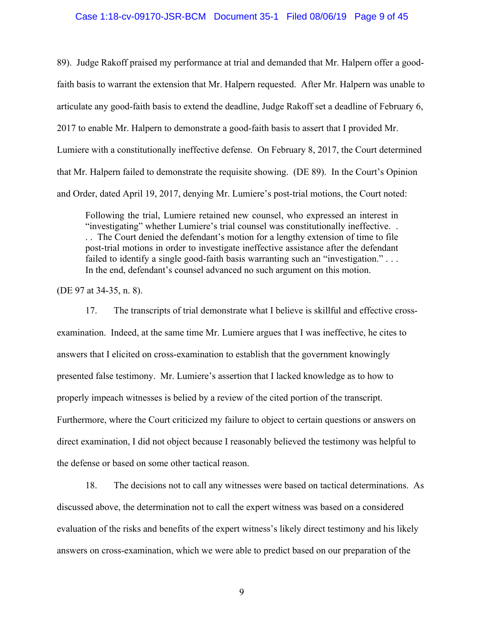### Case 1:18-cv-09170-JSR-BCM Document 35-1 Filed 08/06/19 Page 9 of 45

89). Judge Rakoff praised my performance at trial and demanded that Mr. Halpern offer a goodfaith basis to warrant the extension that Mr. Halpern requested. After Mr. Halpern was unable to articulate any good-faith basis to extend the deadline, Judge Rakoff set a deadline of February 6, 2017 to enable Mr. Halpern to demonstrate a good-faith basis to assert that I provided Mr. Lumiere with a constitutionally ineffective defense. On February 8, 2017, the Court determined that Mr. Halpern failed to demonstrate the requisite showing. (DE 89). In the Court's Opinion and Order, dated April 19, 2017, denying Mr. Lumiere's post-trial motions, the Court noted:

Following the trial, Lumiere retained new counsel, who expressed an interest in "investigating" whether Lumiere's trial counsel was constitutionally ineffective. . . . The Court denied the defendant's motion for a lengthy extension of time to file post-trial motions in order to investigate ineffective assistance after the defendant failed to identify a single good-faith basis warranting such an "investigation." ... In the end, defendant's counsel advanced no such argument on this motion.

(DE 97 at 34-35, n. 8).

17. The transcripts of trial demonstrate what I believe is skillful and effective crossexamination. Indeed, at the same time Mr. Lumiere argues that I was ineffective, he cites to answers that I elicited on cross-examination to establish that the government knowingly presented false testimony. Mr. Lumiere's assertion that I lacked knowledge as to how to properly impeach witnesses is belied by a review of the cited portion of the transcript. Furthermore, where the Court criticized my failure to object to certain questions or answers on direct examination, I did not object because I reasonably believed the testimony was helpful to the defense or based on some other tactical reason.

18. The decisions not to call any witnesses were based on tactical determinations. As discussed above, the determination not to call the expert witness was based on a considered evaluation of the risks and benefits of the expert witness's likely direct testimony and his likely answers on cross-examination, which we were able to predict based on our preparation of the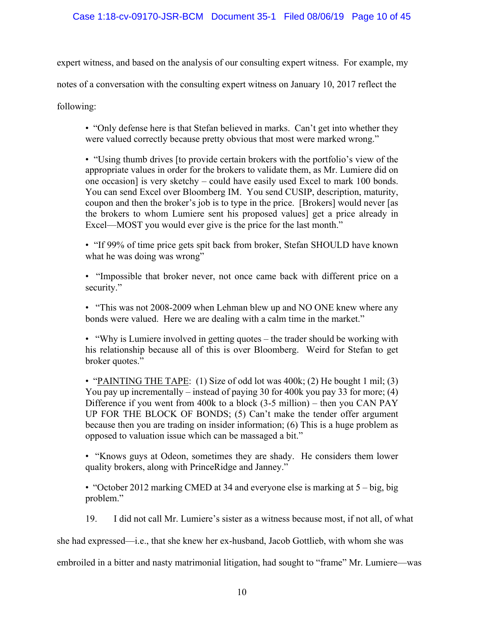expert witness, and based on the analysis of our consulting expert witness. For example, my

notes of a conversation with the consulting expert witness on January 10, 2017 reflect the

following:

• "Only defense here is that Stefan believed in marks. Can't get into whether they were valued correctly because pretty obvious that most were marked wrong."

• "Using thumb drives [to provide certain brokers with the portfolio's view of the appropriate values in order for the brokers to validate them, as Mr. Lumiere did on one occasion] is very sketchy – could have easily used Excel to mark 100 bonds. You can send Excel over Bloomberg IM. You send CUSIP, description, maturity, coupon and then the broker's job is to type in the price. [Brokers] would never [as the brokers to whom Lumiere sent his proposed values] get a price already in Excel—MOST you would ever give is the price for the last month."

• "If 99% of time price gets spit back from broker, Stefan SHOULD have known what he was doing was wrong"

• "Impossible that broker never, not once came back with different price on a security."

• "This was not 2008-2009 when Lehman blew up and NO ONE knew where any bonds were valued. Here we are dealing with a calm time in the market."

• "Why is Lumiere involved in getting quotes – the trader should be working with his relationship because all of this is over Bloomberg. Weird for Stefan to get broker quotes."

• "PAINTING THE TAPE: (1) Size of odd lot was 400k; (2) He bought 1 mil; (3) You pay up incrementally – instead of paying 30 for 400k you pay 33 for more; (4) Difference if you went from 400k to a block (3-5 million) – then you CAN PAY UP FOR THE BLOCK OF BONDS; (5) Can't make the tender offer argument because then you are trading on insider information; (6) This is a huge problem as opposed to valuation issue which can be massaged a bit."

• "Knows guys at Odeon, sometimes they are shady. He considers them lower quality brokers, along with PrinceRidge and Janney."

• "October 2012 marking CMED at 34 and everyone else is marking at 5 – big, big problem."

19. I did not call Mr. Lumiere's sister as a witness because most, if not all, of what

she had expressed—i.e., that she knew her ex-husband, Jacob Gottlieb, with whom she was

embroiled in a bitter and nasty matrimonial litigation, had sought to "frame" Mr. Lumiere—was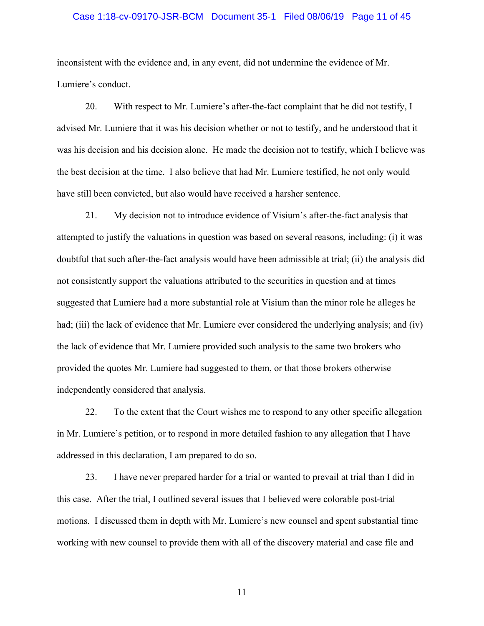## Case 1:18-cv-09170-JSR-BCM Document 35-1 Filed 08/06/19 Page 11 of 45

inconsistent with the evidence and, in any event, did not undermine the evidence of Mr. Lumiere's conduct.

20. With respect to Mr. Lumiere's after-the-fact complaint that he did not testify, I advised Mr. Lumiere that it was his decision whether or not to testify, and he understood that it was his decision and his decision alone. He made the decision not to testify, which I believe was the best decision at the time. I also believe that had Mr. Lumiere testified, he not only would have still been convicted, but also would have received a harsher sentence.

21. My decision not to introduce evidence of Visium's after-the-fact analysis that attempted to justify the valuations in question was based on several reasons, including: (i) it was doubtful that such after-the-fact analysis would have been admissible at trial; (ii) the analysis did not consistently support the valuations attributed to the securities in question and at times suggested that Lumiere had a more substantial role at Visium than the minor role he alleges he had; (iii) the lack of evidence that Mr. Lumiere ever considered the underlying analysis; and (iv) the lack of evidence that Mr. Lumiere provided such analysis to the same two brokers who provided the quotes Mr. Lumiere had suggested to them, or that those brokers otherwise independently considered that analysis.

22. To the extent that the Court wishes me to respond to any other specific allegation in Mr. Lumiere's petition, or to respond in more detailed fashion to any allegation that I have addressed in this declaration, I am prepared to do so.

23. I have never prepared harder for a trial or wanted to prevail at trial than I did in this case. After the trial, I outlined several issues that I believed were colorable post-trial motions. I discussed them in depth with Mr. Lumiere's new counsel and spent substantial time working with new counsel to provide them with all of the discovery material and case file and